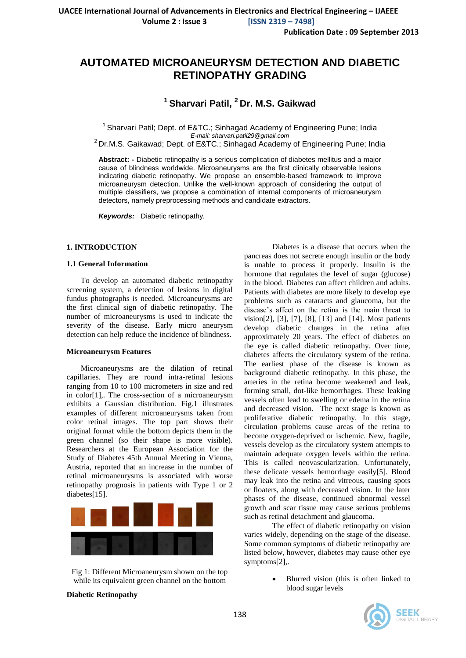**Volume 2 : Issue 3 [ISSN 2319 – 7498]**

**Publication Date : 09 September 2013**

# **AUTOMATED MICROANEURYSM DETECTION AND DIABETIC RETINOPATHY GRADING**

## **<sup>1</sup> Sharvari Patil, <sup>2</sup> Dr. M.S. Gaikwad**

<sup>1</sup> Sharvari Patil; Dept. of E&TC.; Sinhagad Academy of Engineering Pune; India *E-mail: sharvari.patil29@gmail.com*

 $2^{2}$  Dr.M.S. Gaikawad; Dept. of E&TC.; Sinhagad Academy of Engineering Pune; India

**Abstract: -** Diabetic retinopathy is a serious complication of diabetes mellitus and a major cause of blindness worldwide. Microaneurysms are the first clinically observable lesions indicating diabetic retinopathy. We propose an ensemble-based framework to improve microaneurysm detection. Unlike the well-known approach of considering the output of multiple classifiers, we propose a combination of internal components of microaneurysm detectors, namely preprocessing methods and candidate extractors.

*Keywords:* Diabetic retinopathy*.*

#### **1. INTRODUCTION**

#### **1.1 General Information**

To develop an automated diabetic retinopathy screening system, a detection of lesions in digital fundus photographs is needed. Microaneurysms are the first clinical sign of diabetic retinopathy. The number of microaneurysms is used to indicate the severity of the disease. Early micro aneurysm detection can help reduce the incidence of blindness.

#### **Microaneurysm Features**

Microaneurysms are the dilation of retinal capillaries. They are round intra-retinal lesions ranging from 10 to 100 micrometers in size and red in color[1],. The cross-section of a microaneurysm exhibits a Gaussian distribution. Fig.1 illustrates examples of different microaneurysms taken from color retinal images. The top part shows their original format while the bottom depicts them in the green channel (so their shape is more visible). Researchers at the European Association for the Study of Diabetes 45th Annual Meeting in Vienna, Austria, reported that an increase in the number of retinal microaneurysms is associated with worse retinopathy prognosis in patients with Type 1 or 2 diabetes[15].



Fig 1: Different Microaneurysm shown on the top while its equivalent green channel on the bottom

**Diabetic Retinopathy**

Diabetes is a disease that occurs when the pancreas does not secrete enough insulin or the body is unable to process it properly. Insulin is the hormone that regulates the level of sugar (glucose) in the blood. Diabetes can affect children and adults. Patients with diabetes are more likely to develop eye problems such as cataracts and glaucoma, but the disease's affect on the retina is the main threat to vision[2], [3], [7], [8], [13] and [14]. Most patients develop diabetic changes in the retina after approximately 20 years. The effect of diabetes on the eye is called diabetic retinopathy. Over time, diabetes affects the circulatory system of the retina. The earliest phase of the disease is known as background diabetic retinopathy. In this phase, the arteries in the retina become weakened and leak, forming small, dot-like hemorrhages. These leaking vessels often lead to swelling or edema in the retina and decreased vision. The next stage is known as proliferative diabetic retinopathy. In this stage, circulation problems cause areas of the retina to become oxygen-deprived or ischemic. New, fragile, vessels develop as the circulatory system attempts to maintain adequate oxygen levels within the retina. This is called neovascularization. Unfortunately, these delicate vessels hemorrhage easily[5]. Blood may leak into the retina and vitreous, causing spots or floaters, along with decreased vision. In the later phases of the disease, continued abnormal vessel growth and scar tissue may cause serious problems such as retinal detachment and glaucoma.

The effect of diabetic retinopathy on vision varies widely, depending on the stage of the disease. Some common symptoms of diabetic retinopathy are listed below, however, diabetes may cause other eye symptoms[2],.

> Blurred vision (this is often linked to blood sugar levels

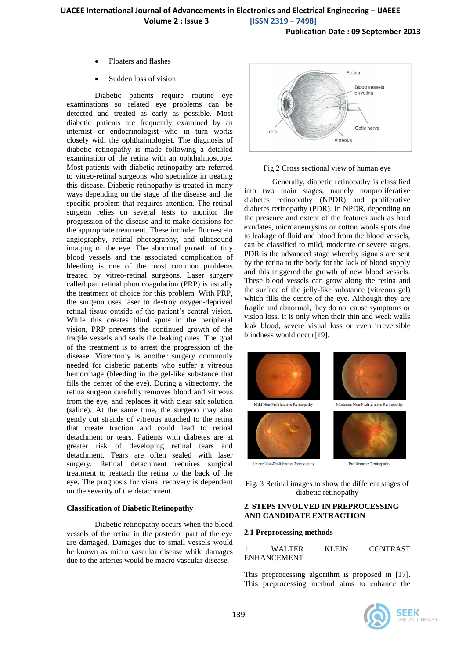**Publication Date : 09 September 2013**

- Floaters and flashes
- Sudden loss of vision

Diabetic patients require routine eye examinations so related eye problems can be detected and treated as early as possible. Most diabetic patients are frequently examined by an internist or endocrinologist who in turn works closely with the ophthalmologist. The diagnosis of diabetic retinopathy is made following a detailed examination of the retina with an ophthalmoscope. Most patients with diabetic retinopathy are referred to vitreo-retinal surgeons who specialize in treating this disease. Diabetic retinopathy is treated in many ways depending on the stage of the disease and the specific problem that requires attention. The retinal surgeon relies on several tests to monitor the progression of the disease and to make decisions for the appropriate treatment. These include: fluorescein angiography, retinal photography, and ultrasound imaging of the eye. The abnormal growth of tiny blood vessels and the associated complication of bleeding is one of the most common problems treated by vitreo-retinal surgeons. Laser surgery called pan retinal photocoagulation (PRP) is usually the treatment of choice for this problem. With PRP, the surgeon uses laser to destroy oxygen-deprived retinal tissue outside of the patient's central vision. While this creates blind spots in the peripheral vision, PRP prevents the continued growth of the fragile vessels and seals the leaking ones. The goal of the treatment is to arrest the progression of the disease. Vitrectomy is another surgery commonly needed for diabetic patients who suffer a vitreous hemorrhage (bleeding in the gel-like substance that fills the center of the eye). During a vitrectomy, the retina surgeon carefully removes blood and vitreous from the eye, and replaces it with clear salt solution (saline). At the same time, the surgeon may also gently cut strands of vitreous attached to the retina that create traction and could lead to retinal detachment or tears. Patients with diabetes are at greater risk of developing retinal tears and detachment. Tears are often sealed with laser surgery. Retinal detachment requires surgical treatment to reattach the retina to the back of the eye. The prognosis for visual recovery is dependent on the severity of the detachment.

#### **Classification of Diabetic Retinopathy**

Diabetic retinopathy occurs when the blood vessels of the retina in the posterior part of the eye are damaged. Damages due to small vessels would be known as micro vascular disease while damages due to the arteries would be macro vascular disease.



#### Fig 2 Cross sectional view of human eye

Generally, diabetic retinopathy is classified into two main stages, namely nonproliferative diabetes retinopathy (NPDR) and proliferative diabetes retinopathy (PDR). In NPDR, depending on the presence and extent of the features such as hard exudates, microaneurysms or cotton wools spots due to leakage of fluid and blood from the blood vessels, can be classified to mild, moderate or severe stages. PDR is the advanced stage whereby signals are sent by the retina to the body for the lack of blood supply and this triggered the growth of new blood vessels. These blood vessels can grow along the retina and the surface of the jelly-like substance (vitreous gel) which fills the centre of the eye. Although they are fragile and abnormal, they do not cause symptoms or vision loss. It is only when their thin and weak walls leak blood, severe visual loss or even irreversible blindness would occur[19].



Fig. 3 Retinal images to show the different stages of diabetic retinopathy

#### **2. STEPS INVOLVED IN PREPROCESSING AND CANDIDATE EXTRACTION**

#### **2.1 Preprocessing methods**

|                    | <b>WALTER</b> | KLEIN | <b>CONTRAST</b> |
|--------------------|---------------|-------|-----------------|
| <b>ENHANCEMENT</b> |               |       |                 |

This preprocessing algorithm is proposed in [17]. This preprocessing method aims to enhance the

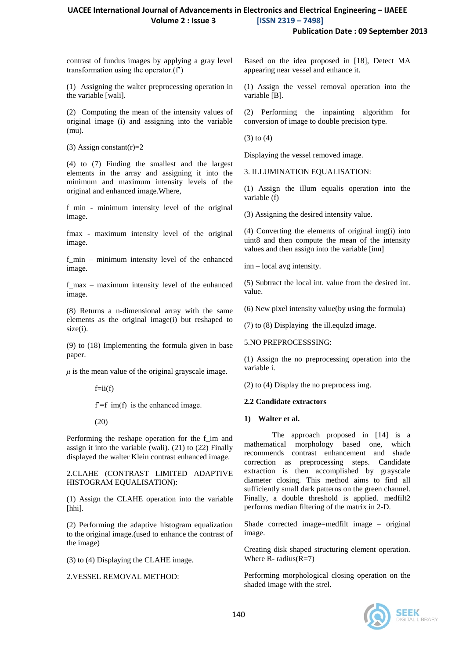**Publication Date : 09 September 2013**

contrast of fundus images by applying a gray level transformation using the operator.(f')

(1) Assigning the walter preprocessing operation in the variable [wali].

(2) Computing the mean of the intensity values of original image (i) and assigning into the variable (mu).

(3) Assign constant(r)= $2$ 

(4) to (7) Finding the smallest and the largest elements in the array and assigning it into the minimum and maximum intensity levels of the original and enhanced image.Where,

f min - minimum intensity level of the original image.

fmax - maximum intensity level of the original image.

f\_min – minimum intensity level of the enhanced image.

f\_max – maximum intensity level of the enhanced image.

(8) Returns a n-dimensional array with the same elements as the original image(i) but reshaped to size(i).

(9) to (18) Implementing the formula given in base paper.

 $\mu$  is the mean value of the original grayscale image.

 $f=ii(f)$ 

 $f = f$  im(f) is the enhanced image.

(20)

Performing the reshape operation for the f im and assign it into the variable (wali). (21) to (22) Finally displayed the walter Klein contrast enhanced image.

2.CLAHE (CONTRAST LIMITED ADAPTIVE HISTOGRAM EQUALISATION):

(1) Assign the CLAHE operation into the variable [hhi].

(2) Performing the adaptive histogram equalization to the original image.(used to enhance the contrast of the image)

(3) to (4) Displaying the CLAHE image.

2.VESSEL REMOVAL METHOD:

Based on the idea proposed in [18], Detect MA appearing near vessel and enhance it.

(1) Assign the vessel removal operation into the variable [B].

(2) Performing the inpainting algorithm for conversion of image to double precision type.

(3) to (4)

Displaying the vessel removed image.

3. ILLUMINATION EQUALISATION:

(1) Assign the illum equalis operation into the variable (f)

(3) Assigning the desired intensity value.

(4) Converting the elements of original img(i) into uint8 and then compute the mean of the intensity values and then assign into the variable [inn]

inn – local avg intensity.

(5) Subtract the local int. value from the desired int. value.

(6) New pixel intensity value(by using the formula)

(7) to (8) Displaying the ill.equlzd image.

5.NO PREPROCESSSING:

(1) Assign the no preprocessing operation into the variable i.

(2) to (4) Display the no preprocess img.

#### **2.2 Candidate extractors**

#### **1) Walter et al.**

The approach proposed in [14] is a mathematical morphology based one, which recommends contrast enhancement and shade correction as preprocessing steps. Candidate extraction is then accomplished by grayscale diameter closing. This method aims to find all sufficiently small dark patterns on the green channel. Finally, a double threshold is applied. medfilt2 performs median filtering of the matrix in 2-D.

Shade corrected image=medfilt image – original image.

Creating disk shaped structuring element operation. Where  $R$ - radius $(R=7)$ 

Performing morphological closing operation on the shaded image with the strel.

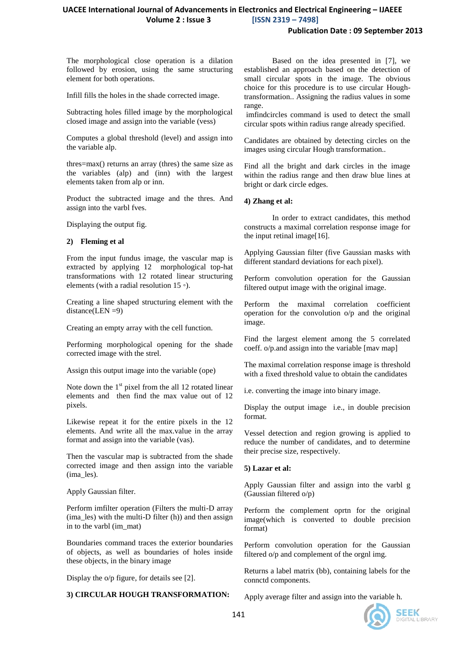## **Publication Date : 09 September 2013**

The morphological close operation is a dilation followed by erosion, using the same structuring element for both operations.

Infill fills the holes in the shade corrected image.

Subtracting holes filled image by the morphological closed image and assign into the variable (vess)

Computes a global threshold (level) and assign into the variable alp.

thres=max() returns an array (thres) the same size as the variables (alp) and (inn) with the largest elements taken from alp or inn.

Product the subtracted image and the thres. And assign into the varbl fves.

Displaying the output fig.

#### **2) Fleming et al**

From the input fundus image, the vascular map is extracted by applying 12 morphological top-hat transformations with 12 rotated linear structuring elements (with a radial resolution 15 *◦*).

Creating a line shaped structuring element with the distance(LEN =9)

Creating an empty array with the cell function.

Performing morphological opening for the shade corrected image with the strel.

Assign this output image into the variable (ope)

Note down the  $1<sup>st</sup>$  pixel from the all 12 rotated linear elements and then find the max value out of 12 pixels.

Likewise repeat it for the entire pixels in the 12 elements. And write all the max.value in the array format and assign into the variable (vas).

Then the vascular map is subtracted from the shade corrected image and then assign into the variable (ima\_les).

Apply Gaussian filter.

Perform imfilter operation (Filters the multi-D array (ima\_les) with the multi-D filter (h)) and then assign in to the varbl (im\_mat)

Boundaries command traces the exterior boundaries of objects, as well as boundaries of holes inside these objects, in the binary image

Display the o/p figure, for details see [2].

### **3) CIRCULAR HOUGH TRANSFORMATION:**

Based on the idea presented in [7], we established an approach based on the detection of small circular spots in the image. The obvious choice for this procedure is to use circular Houghtransformation.. Assigning the radius values in some range.

imfindcircles command is used to detect the small circular spots within radius range already specified.

Candidates are obtained by detecting circles on the images using circular Hough transformation..

Find all the bright and dark circles in the image within the radius range and then draw blue lines at bright or dark circle edges.

#### **4) Zhang et al:**

In order to extract candidates, this method constructs a maximal correlation response image for the input retinal image[16].

Applying Gaussian filter (five Gaussian masks with different standard deviations for each pixel).

Perform convolution operation for the Gaussian filtered output image with the original image.

Perform the maximal correlation coefficient operation for the convolution o/p and the original image.

Find the largest element among the 5 correlated coeff. o/p.and assign into the variable [mav map]

The maximal correlation response image is threshold with a fixed threshold value to obtain the candidates

i.e. converting the image into binary image.

Display the output image i.e., in double precision format.

Vessel detection and region growing is applied to reduce the number of candidates, and to determine their precise size, respectively.

### **5) Lazar et al:**

Apply Gaussian filter and assign into the varbl g (Gaussian filtered o/p)

Perform the complement oprtn for the original image(which is converted to double precision format)

Perform convolution operation for the Gaussian filtered o/p and complement of the orgnl img.

Returns a label matrix (bb), containing labels for the connctd components.

Apply average filter and assign into the variable h.

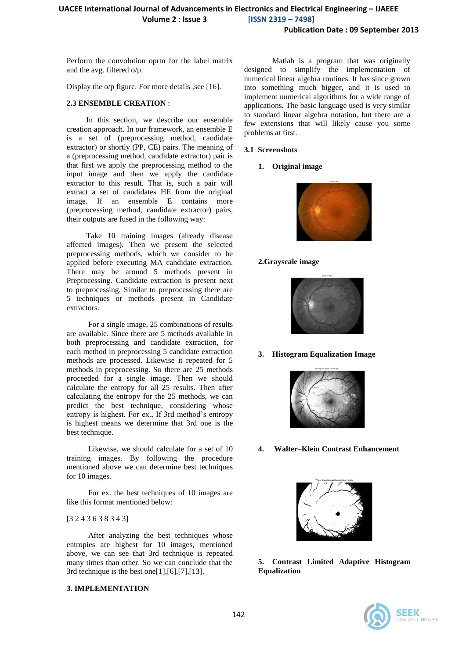Perform the convolution oprtn for the label matrix and the avg. filtered o/p.

Display the o/p figure. For more details , see [16].

#### **2.3 ENSEMBLE CREATION** :

 In this section, we describe our ensemble creation approach. In our framework, an ensemble E is a set of (preprocessing method, candidate extractor) or shortly (PP, CE) pairs. The meaning of a (preprocessing method, candidate extractor) pair is that first we apply the preprocessing method to the input image and then we apply the candidate extractor to this result. That is, such a pair will extract a set of candidates HE from the original image. If an ensemble E contains more (preprocessing method, candidate extractor) pairs, their outputs are fused in the following way:

 Take 10 training images (already disease affected images). Then we present the selected preprocessing methods, which we consider to be applied before executing MA candidate extraction. There may be around 5 methods present in Preprocessing. Candidate extraction is present next to preprocessing. Similar to preprocessing there are 5 techniques or methods present in Candidate extractors.

 For a single image, 25 combinations of results are available. Since there are 5 methods available in both preprocessing and candidate extraction, for each method in preprocessing 5 candidate extraction methods are processed. Likewise it repeated for 5 methods in preprocessing. So there are 25 methods proceeded for a single image. Then we should calculate the entropy for all 25 results. Then after calculating the entropy for the 25 methods, we can predict the best technique, considering whose entropy is highest. For ex., If 3rd method's entropy is highest means we determine that 3rd one is the best technique.

 Likewise, we should calculate for a set of 10 training images. By following the procedure mentioned above we can determine best techniques for 10 images.

 For ex. the best techniques of 10 images are like this format mentioned below:

### [3 2 4 3 6 3 8 3 4 3]

After analyzing the best techniques whose entropies are highest for 10 images, mentioned above, we can see that 3rd technique is repeated many times than other. So we can conclude that the 3rd technique is the best one $[1]$ , $[6]$ , $[7]$ , $[13]$ .

#### **3. IMPLEMENTATION**

Matlab is a program that was originally designed to simplify the implementation of numerical linear algebra routines. It has since grown into something much bigger, and it is used to implement numerical algorithms for a wide range of applications. The basic language used is very similar to standard linear algebra notation, but there are a few extensions that will likely cause you some problems at first.

#### **3.1 Screenshots**

#### **1. Original image**



### **2.Grayscale image**



**3. Histogram Equalization Image**



**4. Walter–Klein Contrast Enhancement**



**5. Contrast Limited Adaptive Histogram Equalization** 

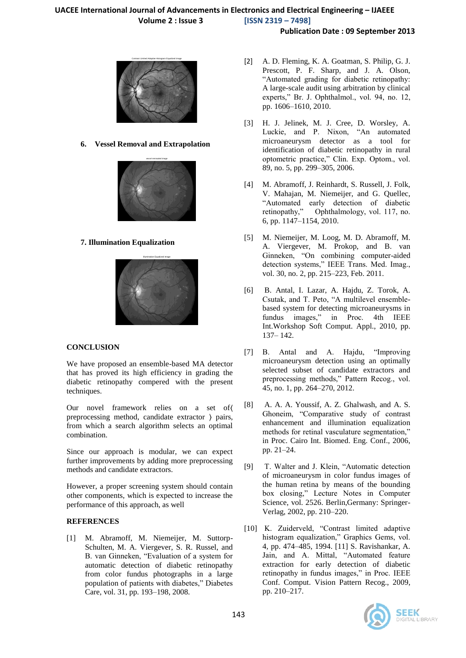## **Publication Date : 09 September 2013**



**6. Vessel Removal and Extrapolation**



## **7. Illumination Equalization**



## **CONCLUSION**

We have proposed an ensemble-based MA detector that has proved its high efficiency in grading the diabetic retinopathy compered with the present techniques.

Our novel framework relies on a set of〈 preprocessing method, candidate extractor  $\rangle$  pairs, from which a search algorithm selects an optimal combination.

Since our approach is modular, we can expect further improvements by adding more preprocessing methods and candidate extractors.

However, a proper screening system should contain other components, which is expected to increase the performance of this approach, as well

## **REFERENCES**

[1] M. Abramoff, M. Niemeijer, M. Suttorp-Schulten, M. A. Viergever, S. R. Russel, and B. van Ginneken, "Evaluation of a system for automatic detection of diabetic retinopathy from color fundus photographs in a large population of patients with diabetes," Diabetes Care, vol. 31, pp. 193–198, 2008.

- [2] A. D. Fleming, K. A. Goatman, S. Philip, G. J. Prescott, P. F. Sharp, and J. A. Olson, "Automated grading for diabetic retinopathy: A large-scale audit using arbitration by clinical experts," Br. J. Ophthalmol., vol. 94, no. 12, pp. 1606–1610, 2010.
- [3] H. J. Jelinek, M. J. Cree, D. Worsley, A. Luckie, and P. Nixon, "An automated microaneurysm detector as a tool for identification of diabetic retinopathy in rural optometric practice," Clin. Exp. Optom., vol. 89, no. 5, pp. 299–305, 2006.
- [4] M. Abramoff, J. Reinhardt, S. Russell, J. Folk, V. Mahajan, M. Niemeijer, and G. Quellec, "Automated early detection of diabetic retinopathy," Ophthalmology, vol. 117, no. 6, pp. 1147–1154, 2010.
- [5] M. Niemeijer, M. Loog, M. D. Abramoff, M. A. Viergever, M. Prokop, and B. van Ginneken, "On combining computer-aided detection systems," IEEE Trans. Med. Imag., vol. 30, no. 2, pp. 215–223, Feb. 2011.
- [6] B. Antal, I. Lazar, A. Hajdu, Z. Torok, A. Csutak, and T. Peto, "A multilevel ensemblebased system for detecting microaneurysms in fundus images," in Proc. 4th IEEE Int.Workshop Soft Comput. Appl., 2010, pp. 137– 142.
- [7] B. Antal and A. Hajdu, "Improving microaneurysm detection using an optimally selected subset of candidate extractors and preprocessing methods," Pattern Recog., vol. 45, no. 1, pp. 264–270, 2012.
- [8] A. A. A. Youssif, A. Z. Ghalwash, and A. S. Ghoneim, "Comparative study of contrast enhancement and illumination equalization methods for retinal vasculature segmentation," in Proc. Cairo Int. Biomed. Eng. Conf., 2006, pp. 21–24.
- [9] T. Walter and J. Klein, "Automatic detection of microaneurysm in color fundus images of the human retina by means of the bounding box closing," Lecture Notes in Computer Science, vol. 2526. Berlin,Germany: Springer-Verlag, 2002, pp. 210–220.
- [10] K. Zuiderveld, "Contrast limited adaptive histogram equalization," Graphics Gems, vol. 4, pp. 474–485, 1994. [11] S. Ravishankar, A. Jain, and A. Mittal, "Automated feature extraction for early detection of diabetic retinopathy in fundus images," in Proc. IEEE Conf. Comput. Vision Pattern Recog., 2009, pp. 210–217.